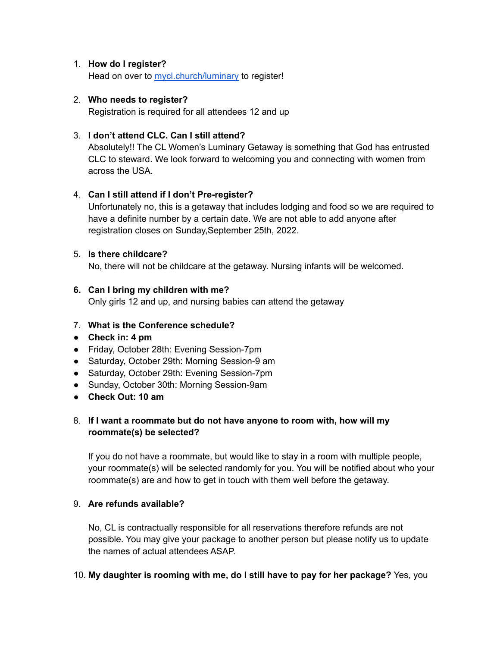### 1. **How do I register?**

Head on over to [mycl.church/luminary](https://mycl.church/luminary/) to register!

### 2. **Who needs to register?**

Registration is required for all attendees 12 and up

### 3. **I don't attend CLC. Can I still attend?**

Absolutely!! The CL Women's Luminary Getaway is something that God has entrusted CLC to steward. We look forward to welcoming you and connecting with women from across the USA.

### 4. **Can I still attend if I don't Pre-register?**

Unfortunately no, this is a getaway that includes lodging and food so we are required to have a definite number by a certain date. We are not able to add anyone after registration closes on Sunday,September 25th, 2022.

### 5. **Is there childcare?**

No, there will not be childcare at the getaway. Nursing infants will be welcomed.

### **6. Can I bring my children with me?**

Only girls 12 and up, and nursing babies can attend the getaway

### 7. **What is the Conference schedule?**

- **● Check in: 4 pm**
- Friday, October 28th: Evening Session-7pm
- Saturday, October 29th: Morning Session-9 am
- Saturday, October 29th: Evening Session-7pm
- Sunday, October 30th: Morning Session-9am
- **● Check Out: 10 am**

### 8. **If I want a roommate but do not have anyone to room with, how will my roommate(s) be selected?**

If you do not have a roommate, but would like to stay in a room with multiple people, your roommate(s) will be selected randomly for you. You will be notified about who your roommate(s) are and how to get in touch with them well before the getaway.

### 9. **Are refunds available?**

No, CL is contractually responsible for all reservations therefore refunds are not possible. You may give your package to another person but please notify us to update the names of actual attendees ASAP.

### 10. **My daughter is rooming with me, do I still have to pay for her package?** Yes, you